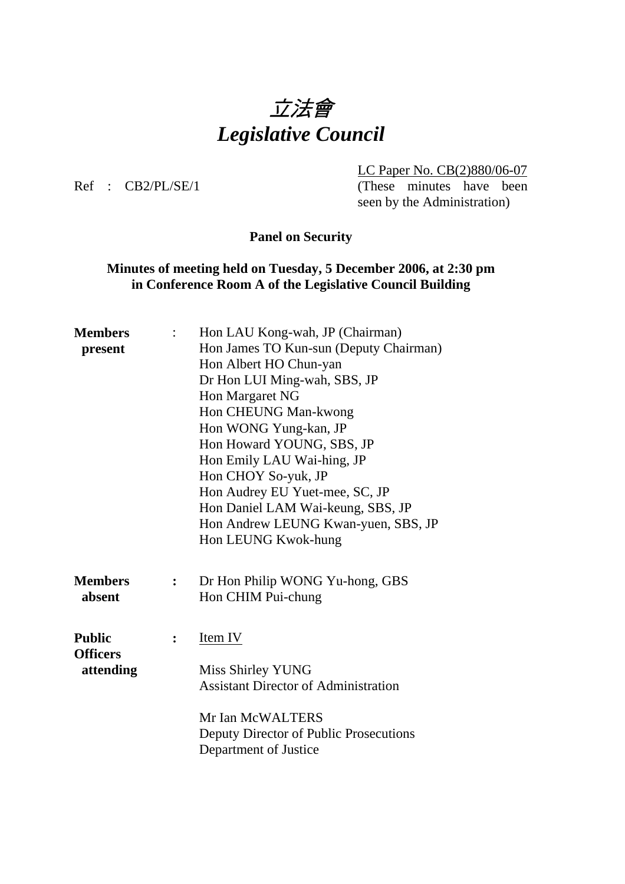# 立法會 *Legislative Council*

LC Paper No. CB(2)880/06-07

Ref : CB2/PL/SE/1 (These minutes have been seen by the Administration)

**Panel on Security** 

### **Minutes of meeting held on Tuesday, 5 December 2006, at 2:30 pm in Conference Room A of the Legislative Council Building**

| <b>Members</b>  |                | Hon LAU Kong-wah, JP (Chairman)             |
|-----------------|----------------|---------------------------------------------|
| present         |                | Hon James TO Kun-sun (Deputy Chairman)      |
|                 |                | Hon Albert HO Chun-yan                      |
|                 |                | Dr Hon LUI Ming-wah, SBS, JP                |
|                 |                | Hon Margaret NG                             |
|                 |                | Hon CHEUNG Man-kwong                        |
|                 |                | Hon WONG Yung-kan, JP                       |
|                 |                | Hon Howard YOUNG, SBS, JP                   |
|                 |                | Hon Emily LAU Wai-hing, JP                  |
|                 |                | Hon CHOY So-yuk, JP                         |
|                 |                | Hon Audrey EU Yuet-mee, SC, JP              |
|                 |                | Hon Daniel LAM Wai-keung, SBS, JP           |
|                 |                | Hon Andrew LEUNG Kwan-yuen, SBS, JP         |
|                 |                | Hon LEUNG Kwok-hung                         |
|                 |                |                                             |
| <b>Members</b>  | $\ddot{\cdot}$ | Dr Hon Philip WONG Yu-hong, GBS             |
| absent          |                | Hon CHIM Pui-chung                          |
|                 |                |                                             |
|                 |                |                                             |
| <b>Public</b>   | $\ddot{\cdot}$ | Item IV                                     |
| <b>Officers</b> |                |                                             |
| attending       |                | Miss Shirley YUNG                           |
|                 |                | <b>Assistant Director of Administration</b> |
|                 |                |                                             |
|                 |                | Mr Ian McWALTERS                            |
|                 |                | Deputy Director of Public Prosecutions      |
|                 |                | Department of Justice                       |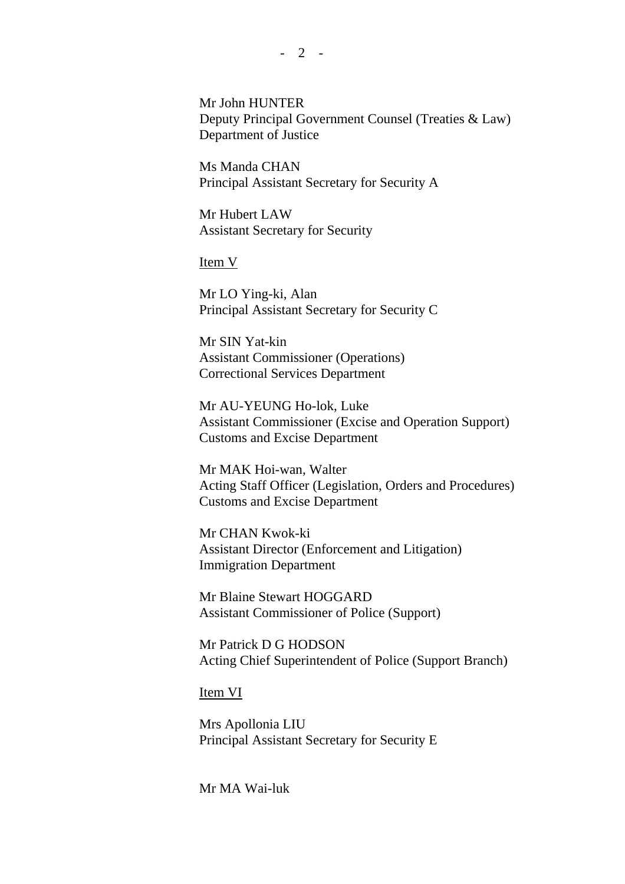Mr John HUNTER Deputy Principal Government Counsel (Treaties & Law) Department of Justice

Ms Manda CHAN Principal Assistant Secretary for Security A

Mr Hubert LAW Assistant Secretary for Security

Item V

Mr LO Ying-ki, Alan Principal Assistant Secretary for Security C

Mr SIN Yat-kin Assistant Commissioner (Operations) Correctional Services Department

Mr AU-YEUNG Ho-lok, Luke Assistant Commissioner (Excise and Operation Support) Customs and Excise Department

Mr MAK Hoi-wan, Walter Acting Staff Officer (Legislation, Orders and Procedures) Customs and Excise Department

Mr CHAN Kwok-ki Assistant Director (Enforcement and Litigation) Immigration Department

Mr Blaine Stewart HOGGARD Assistant Commissioner of Police (Support)

Mr Patrick D G HODSON Acting Chief Superintendent of Police (Support Branch)

Item VI

Mrs Apollonia LIU Principal Assistant Secretary for Security E

Mr MA Wai-luk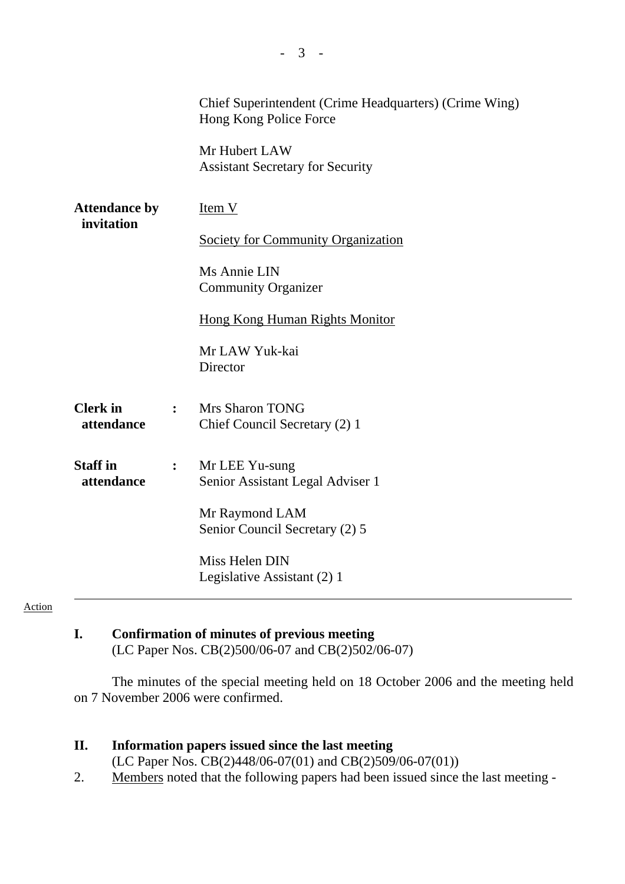|                                    |                | Chief Superintendent (Crime Headquarters) (Crime Wing)<br>Hong Kong Police Force<br>Mr Hubert LAW<br><b>Assistant Secretary for Security</b> |
|------------------------------------|----------------|----------------------------------------------------------------------------------------------------------------------------------------------|
| <b>Attendance by</b><br>invitation |                | $Item V$                                                                                                                                     |
|                                    |                | <b>Society for Community Organization</b>                                                                                                    |
|                                    |                | Ms Annie LIN<br><b>Community Organizer</b>                                                                                                   |
|                                    |                | <b>Hong Kong Human Rights Monitor</b>                                                                                                        |
|                                    |                | Mr LAW Yuk-kai<br>Director                                                                                                                   |
| <b>Clerk</b> in<br>attendance      | $\ddot{\cdot}$ | <b>Mrs Sharon TONG</b><br>Chief Council Secretary (2) 1                                                                                      |
| <b>Staff</b> in<br>attendance      | :              | Mr LEE Yu-sung<br>Senior Assistant Legal Adviser 1                                                                                           |
|                                    |                | Mr Raymond LAM<br>Senior Council Secretary (2) 5                                                                                             |
|                                    |                | Miss Helen DIN<br>Legislative Assistant (2) 1                                                                                                |

#### Action

# **I. Confirmation of minutes of previous meeting**

(LC Paper Nos. CB(2)500/06-07 and CB(2)502/06-07)

The minutes of the special meeting held on 18 October 2006 and the meeting held on 7 November 2006 were confirmed.

### **II. Information papers issued since the last meeting**

(LC Paper Nos. CB(2)448/06-07(01) and CB(2)509/06-07(01))

2. Members noted that the following papers had been issued since the last meeting -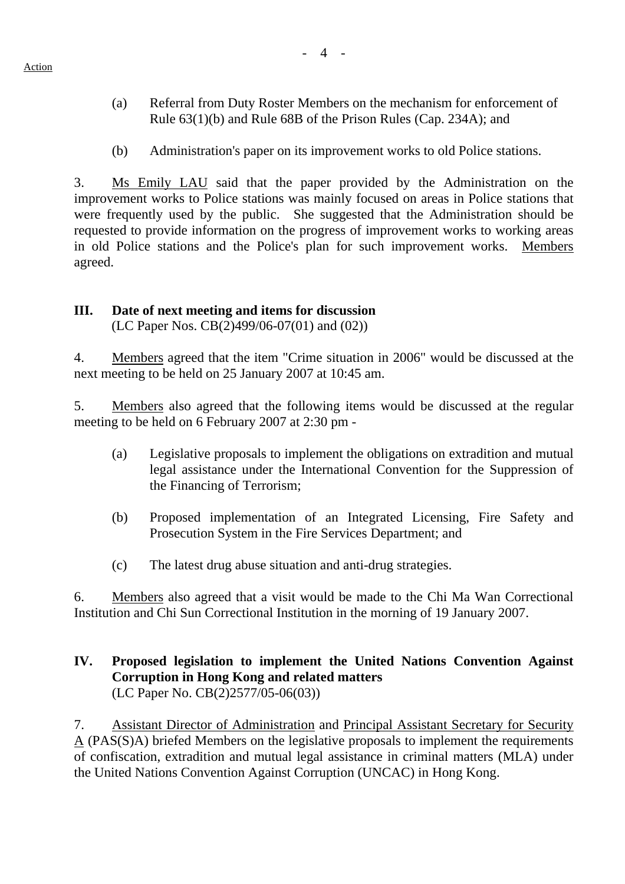- (a) Referral from Duty Roster Members on the mechanism for enforcement of Rule 63(1)(b) and Rule 68B of the Prison Rules (Cap. 234A); and
- (b) Administration's paper on its improvement works to old Police stations.

3. Ms Emily LAU said that the paper provided by the Administration on the improvement works to Police stations was mainly focused on areas in Police stations that were frequently used by the public. She suggested that the Administration should be requested to provide information on the progress of improvement works to working areas in old Police stations and the Police's plan for such improvement works. Members agreed.

## **III. Date of next meeting and items for discussion**

(LC Paper Nos. CB(2)499/06-07(01) and (02))

4. Members agreed that the item "Crime situation in 2006" would be discussed at the next meeting to be held on 25 January 2007 at 10:45 am.

5. Members also agreed that the following items would be discussed at the regular meeting to be held on 6 February 2007 at 2:30 pm -

- (a) Legislative proposals to implement the obligations on extradition and mutual legal assistance under the International Convention for the Suppression of the Financing of Terrorism;
- (b) Proposed implementation of an Integrated Licensing, Fire Safety and Prosecution System in the Fire Services Department; and
- (c) The latest drug abuse situation and anti-drug strategies.

6. Members also agreed that a visit would be made to the Chi Ma Wan Correctional Institution and Chi Sun Correctional Institution in the morning of 19 January 2007.

### **IV. Proposed legislation to implement the United Nations Convention Against Corruption in Hong Kong and related matters**  (LC Paper No. CB(2)2577/05-06(03))

7. Assistant Director of Administration and Principal Assistant Secretary for Security A (PAS(S)A) briefed Members on the legislative proposals to implement the requirements of confiscation, extradition and mutual legal assistance in criminal matters (MLA) under the United Nations Convention Against Corruption (UNCAC) in Hong Kong.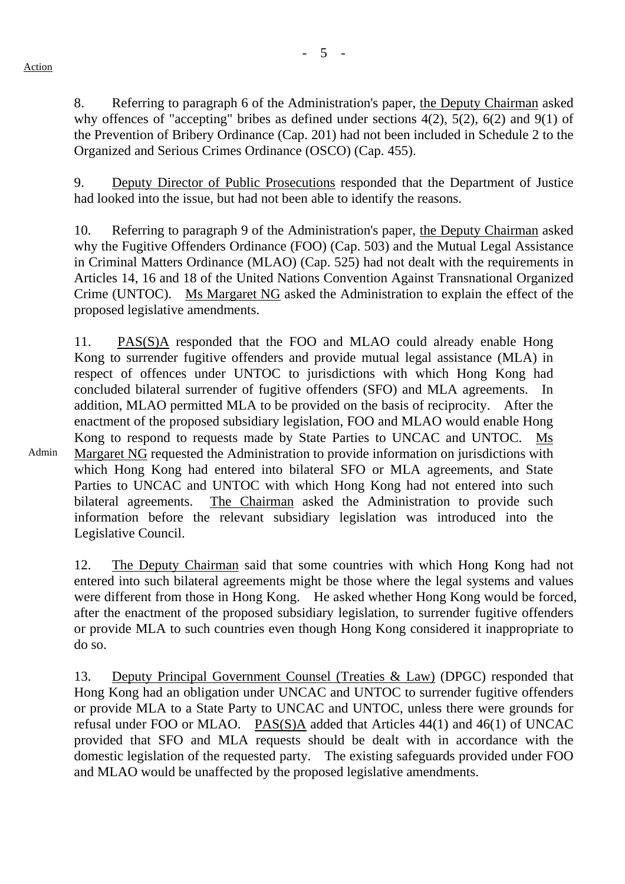Action

Admin

8. Referring to paragraph 6 of the Administration's paper, the Deputy Chairman asked why offences of "accepting" bribes as defined under sections 4(2), 5(2), 6(2) and 9(1) of the Prevention of Bribery Ordinance (Cap. 201) had not been included in Schedule 2 to the Organized and Serious Crimes Ordinance (OSCO) (Cap. 455).

9. Deputy Director of Public Prosecutions responded that the Department of Justice had looked into the issue, but had not been able to identify the reasons.

10. Referring to paragraph 9 of the Administration's paper, the Deputy Chairman asked why the Fugitive Offenders Ordinance (FOO) (Cap. 503) and the Mutual Legal Assistance in Criminal Matters Ordinance (MLAO) (Cap. 525) had not dealt with the requirements in Articles 14, 16 and 18 of the United Nations Convention Against Transnational Organized Crime (UNTOC). Ms Margaret NG asked the Administration to explain the effect of the proposed legislative amendments.

11. PAS(S)A responded that the FOO and MLAO could already enable Hong Kong to surrender fugitive offenders and provide mutual legal assistance (MLA) in respect of offences under UNTOC to jurisdictions with which Hong Kong had concluded bilateral surrender of fugitive offenders (SFO) and MLA agreements. In addition, MLAO permitted MLA to be provided on the basis of reciprocity. After the enactment of the proposed subsidiary legislation, FOO and MLAO would enable Hong Kong to respond to requests made by State Parties to UNCAC and UNTOC. Ms Margaret NG requested the Administration to provide information on jurisdictions with which Hong Kong had entered into bilateral SFO or MLA agreements, and State Parties to UNCAC and UNTOC with which Hong Kong had not entered into such bilateral agreements. The Chairman asked the Administration to provide such information before the relevant subsidiary legislation was introduced into the Legislative Council.

12. The Deputy Chairman said that some countries with which Hong Kong had not entered into such bilateral agreements might be those where the legal systems and values were different from those in Hong Kong. He asked whether Hong Kong would be forced, after the enactment of the proposed subsidiary legislation, to surrender fugitive offenders or provide MLA to such countries even though Hong Kong considered it inappropriate to do so.

13. Deputy Principal Government Counsel (Treaties & Law) (DPGC) responded that Hong Kong had an obligation under UNCAC and UNTOC to surrender fugitive offenders or provide MLA to a State Party to UNCAC and UNTOC, unless there were grounds for refusal under FOO or MLAO. PAS(S)A added that Articles 44(1) and 46(1) of UNCAC provided that SFO and MLA requests should be dealt with in accordance with the domestic legislation of the requested party. The existing safeguards provided under FOO and MLAO would be unaffected by the proposed legislative amendments.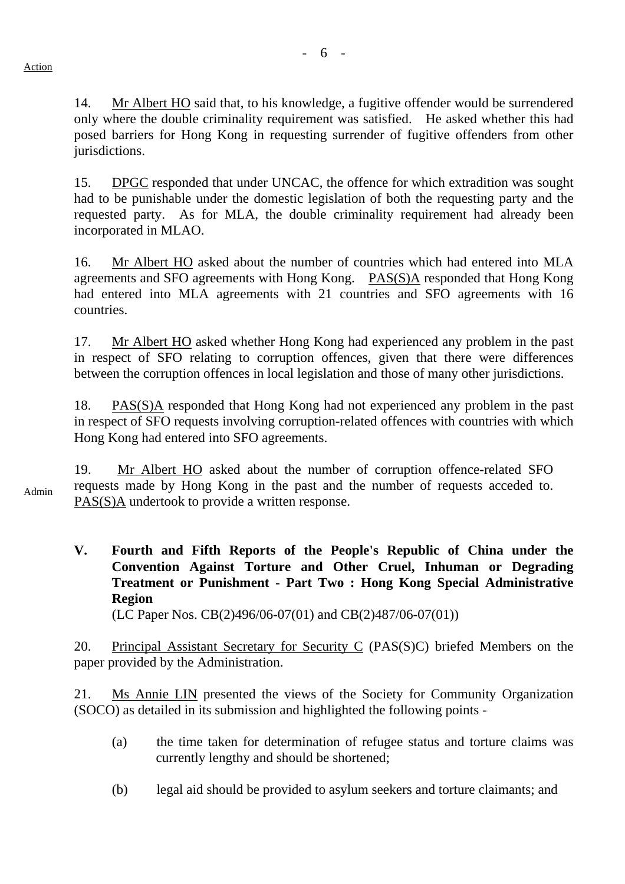14. Mr Albert HO said that, to his knowledge, a fugitive offender would be surrendered only where the double criminality requirement was satisfied. He asked whether this had posed barriers for Hong Kong in requesting surrender of fugitive offenders from other jurisdictions.

15. DPGC responded that under UNCAC, the offence for which extradition was sought had to be punishable under the domestic legislation of both the requesting party and the requested party. As for MLA, the double criminality requirement had already been incorporated in MLAO.

16. Mr Albert HO asked about the number of countries which had entered into MLA agreements and SFO agreements with Hong Kong. PAS(S)A responded that Hong Kong had entered into MLA agreements with 21 countries and SFO agreements with 16 countries.

17. Mr Albert HO asked whether Hong Kong had experienced any problem in the past in respect of SFO relating to corruption offences, given that there were differences between the corruption offences in local legislation and those of many other jurisdictions.

18. PAS(S)A responded that Hong Kong had not experienced any problem in the past in respect of SFO requests involving corruption-related offences with countries with which Hong Kong had entered into SFO agreements.

Admin 19. Mr Albert HO asked about the number of corruption offence-related SFO requests made by Hong Kong in the past and the number of requests acceded to. PAS(S)A undertook to provide a written response.

**V. Fourth and Fifth Reports of the People's Republic of China under the Convention Against Torture and Other Cruel, Inhuman or Degrading Treatment or Punishment - Part Two : Hong Kong Special Administrative Region**  (LC Paper Nos. CB(2)496/06-07(01) and CB(2)487/06-07(01))

20. Principal Assistant Secretary for Security C (PAS(S)C) briefed Members on the paper provided by the Administration.

21. Ms Annie LIN presented the views of the Society for Community Organization (SOCO) as detailed in its submission and highlighted the following points -

- (a) the time taken for determination of refugee status and torture claims was currently lengthy and should be shortened;
- (b) legal aid should be provided to asylum seekers and torture claimants; and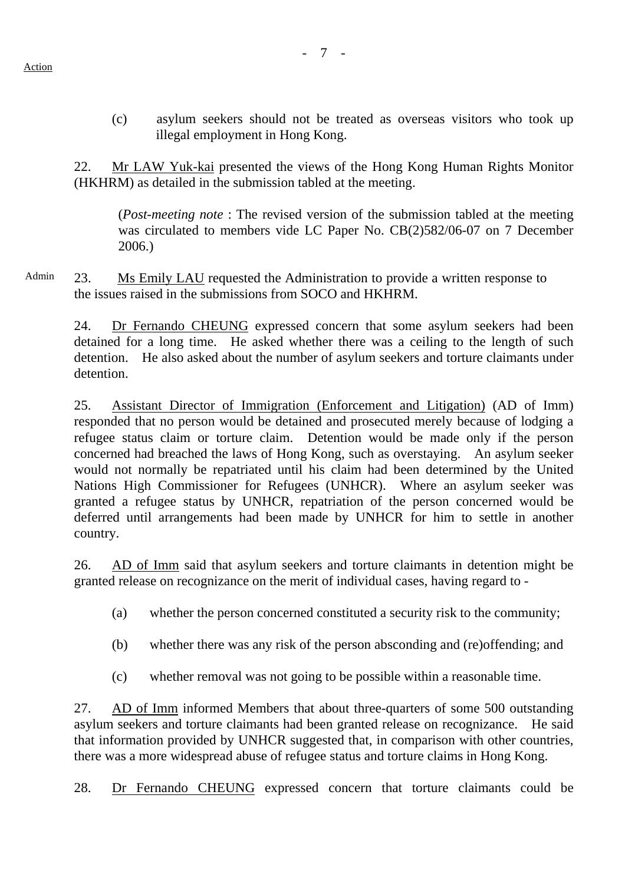(c) asylum seekers should not be treated as overseas visitors who took up illegal employment in Hong Kong.

22. Mr LAW Yuk-kai presented the views of the Hong Kong Human Rights Monitor (HKHRM) as detailed in the submission tabled at the meeting.

(*Post-meeting note* : The revised version of the submission tabled at the meeting was circulated to members vide LC Paper No. CB(2)582/06-07 on 7 December 2006.)

Admin 23. Ms Emily LAU requested the Administration to provide a written response to the issues raised in the submissions from SOCO and HKHRM.

24. Dr Fernando CHEUNG expressed concern that some asylum seekers had been detained for a long time. He asked whether there was a ceiling to the length of such detention. He also asked about the number of asylum seekers and torture claimants under detention.

25. Assistant Director of Immigration (Enforcement and Litigation) (AD of Imm) responded that no person would be detained and prosecuted merely because of lodging a refugee status claim or torture claim. Detention would be made only if the person concerned had breached the laws of Hong Kong, such as overstaying. An asylum seeker would not normally be repatriated until his claim had been determined by the United Nations High Commissioner for Refugees (UNHCR). Where an asylum seeker was granted a refugee status by UNHCR, repatriation of the person concerned would be deferred until arrangements had been made by UNHCR for him to settle in another country.

26. AD of Imm said that asylum seekers and torture claimants in detention might be granted release on recognizance on the merit of individual cases, having regard to -

- (a) whether the person concerned constituted a security risk to the community;
- (b) whether there was any risk of the person absconding and (re)offending; and
- (c) whether removal was not going to be possible within a reasonable time.

27. AD of Imm informed Members that about three-quarters of some 500 outstanding asylum seekers and torture claimants had been granted release on recognizance. He said that information provided by UNHCR suggested that, in comparison with other countries, there was a more widespread abuse of refugee status and torture claims in Hong Kong.

28. Dr Fernando CHEUNG expressed concern that torture claimants could be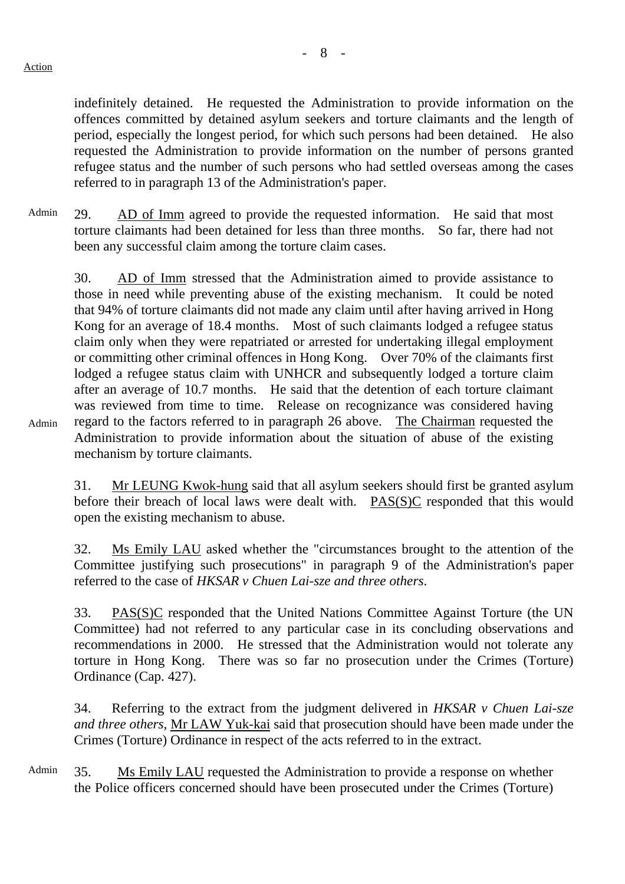indefinitely detained. He requested the Administration to provide information on the offences committed by detained asylum seekers and torture claimants and the length of period, especially the longest period, for which such persons had been detained. He also requested the Administration to provide information on the number of persons granted refugee status and the number of such persons who had settled overseas among the cases referred to in paragraph 13 of the Administration's paper.

Admin 29. AD of Imm agreed to provide the requested information. He said that most torture claimants had been detained for less than three months. So far, there had not been any successful claim among the torture claim cases.

30. AD of Imm stressed that the Administration aimed to provide assistance to those in need while preventing abuse of the existing mechanism. It could be noted that 94% of torture claimants did not made any claim until after having arrived in Hong Kong for an average of 18.4 months. Most of such claimants lodged a refugee status claim only when they were repatriated or arrested for undertaking illegal employment or committing other criminal offences in Hong Kong. Over 70% of the claimants first lodged a refugee status claim with UNHCR and subsequently lodged a torture claim after an average of 10.7 months. He said that the detention of each torture claimant was reviewed from time to time. Release on recognizance was considered having regard to the factors referred to in paragraph 26 above. The Chairman requested the Administration to provide information about the situation of abuse of the existing mechanism by torture claimants.

Admin

31. Mr LEUNG Kwok-hung said that all asylum seekers should first be granted asylum before their breach of local laws were dealt with. PAS(S)C responded that this would open the existing mechanism to abuse.

32. Ms Emily LAU asked whether the "circumstances brought to the attention of the Committee justifying such prosecutions" in paragraph 9 of the Administration's paper referred to the case of *HKSAR v Chuen Lai-sze and three others*.

33. PAS(S)C responded that the United Nations Committee Against Torture (the UN Committee) had not referred to any particular case in its concluding observations and recommendations in 2000. He stressed that the Administration would not tolerate any torture in Hong Kong. There was so far no prosecution under the Crimes (Torture) Ordinance (Cap. 427).

34. Referring to the extract from the judgment delivered in *HKSAR v Chuen Lai-sze and three others*, Mr LAW Yuk-kai said that prosecution should have been made under the Crimes (Torture) Ordinance in respect of the acts referred to in the extract.

Admin 35. Ms Emily LAU requested the Administration to provide a response on whether the Police officers concerned should have been prosecuted under the Crimes (Torture)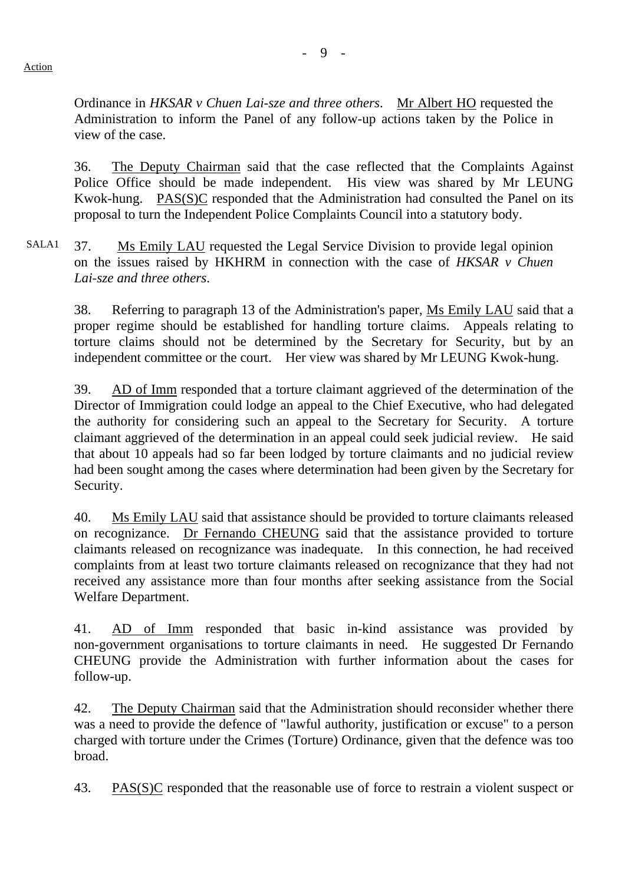Ordinance in *HKSAR v Chuen Lai-sze and three others*. Mr Albert HO requested the Administration to inform the Panel of any follow-up actions taken by the Police in view of the case.

36. The Deputy Chairman said that the case reflected that the Complaints Against Police Office should be made independent. His view was shared by Mr LEUNG Kwok-hung. PAS(S)C responded that the Administration had consulted the Panel on its proposal to turn the Independent Police Complaints Council into a statutory body.

SALA1 37. Ms Emily LAU requested the Legal Service Division to provide legal opinion on the issues raised by HKHRM in connection with the case of *HKSAR v Chuen Lai-sze and three others*.

38. Referring to paragraph 13 of the Administration's paper, Ms Emily LAU said that a proper regime should be established for handling torture claims. Appeals relating to torture claims should not be determined by the Secretary for Security, but by an independent committee or the court. Her view was shared by Mr LEUNG Kwok-hung.

39. AD of Imm responded that a torture claimant aggrieved of the determination of the Director of Immigration could lodge an appeal to the Chief Executive, who had delegated the authority for considering such an appeal to the Secretary for Security. A torture claimant aggrieved of the determination in an appeal could seek judicial review. He said that about 10 appeals had so far been lodged by torture claimants and no judicial review had been sought among the cases where determination had been given by the Secretary for Security.

40. Ms Emily LAU said that assistance should be provided to torture claimants released on recognizance. Dr Fernando CHEUNG said that the assistance provided to torture claimants released on recognizance was inadequate. In this connection, he had received complaints from at least two torture claimants released on recognizance that they had not received any assistance more than four months after seeking assistance from the Social Welfare Department.

41. AD of Imm responded that basic in-kind assistance was provided by non-government organisations to torture claimants in need. He suggested Dr Fernando CHEUNG provide the Administration with further information about the cases for follow-up.

42. The Deputy Chairman said that the Administration should reconsider whether there was a need to provide the defence of "lawful authority, justification or excuse" to a person charged with torture under the Crimes (Torture) Ordinance, given that the defence was too broad.

43. PAS(S)C responded that the reasonable use of force to restrain a violent suspect or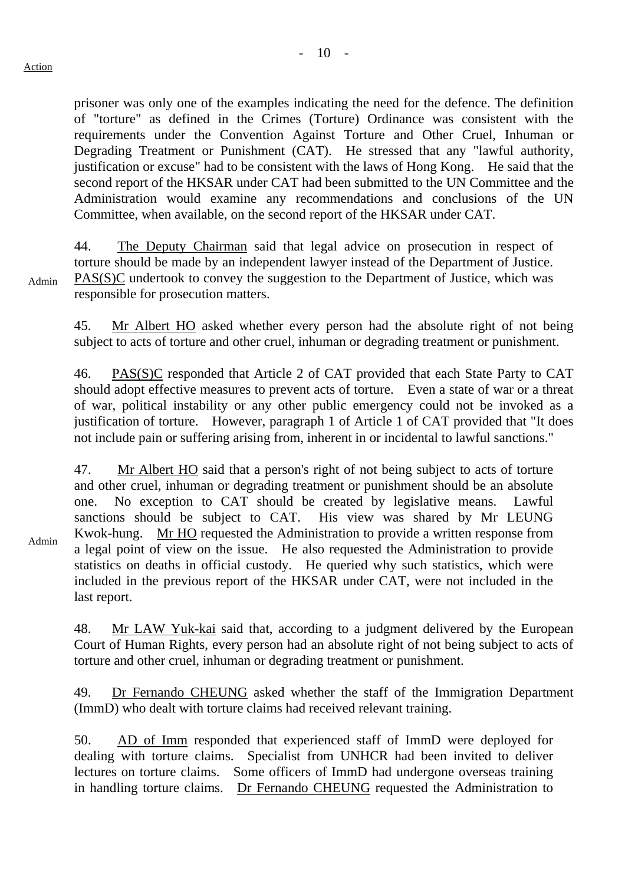prisoner was only one of the examples indicating the need for the defence. The definition of "torture" as defined in the Crimes (Torture) Ordinance was consistent with the requirements under the Convention Against Torture and Other Cruel, Inhuman or Degrading Treatment or Punishment (CAT). He stressed that any "lawful authority, justification or excuse" had to be consistent with the laws of Hong Kong. He said that the second report of the HKSAR under CAT had been submitted to the UN Committee and the Administration would examine any recommendations and conclusions of the UN Committee, when available, on the second report of the HKSAR under CAT.

44. The Deputy Chairman said that legal advice on prosecution in respect of torture should be made by an independent lawyer instead of the Department of Justice. PAS(S)C undertook to convey the suggestion to the Department of Justice, which was responsible for prosecution matters.

Admin

Admin

45. Mr Albert HO asked whether every person had the absolute right of not being subject to acts of torture and other cruel, inhuman or degrading treatment or punishment.

46. PAS(S)C responded that Article 2 of CAT provided that each State Party to CAT should adopt effective measures to prevent acts of torture. Even a state of war or a threat of war, political instability or any other public emergency could not be invoked as a justification of torture. However, paragraph 1 of Article 1 of CAT provided that "It does not include pain or suffering arising from, inherent in or incidental to lawful sanctions."

47. Mr Albert HO said that a person's right of not being subject to acts of torture and other cruel, inhuman or degrading treatment or punishment should be an absolute one. No exception to CAT should be created by legislative means. Lawful sanctions should be subject to CAT. His view was shared by Mr LEUNG Kwok-hung. Mr HO requested the Administration to provide a written response from a legal point of view on the issue. He also requested the Administration to provide statistics on deaths in official custody. He queried why such statistics, which were included in the previous report of the HKSAR under CAT, were not included in the last report.

48. Mr LAW Yuk-kai said that, according to a judgment delivered by the European Court of Human Rights, every person had an absolute right of not being subject to acts of torture and other cruel, inhuman or degrading treatment or punishment.

49. Dr Fernando CHEUNG asked whether the staff of the Immigration Department (ImmD) who dealt with torture claims had received relevant training.

50. AD of Imm responded that experienced staff of ImmD were deployed for dealing with torture claims. Specialist from UNHCR had been invited to deliver lectures on torture claims. Some officers of ImmD had undergone overseas training in handling torture claims. Dr Fernando CHEUNG requested the Administration to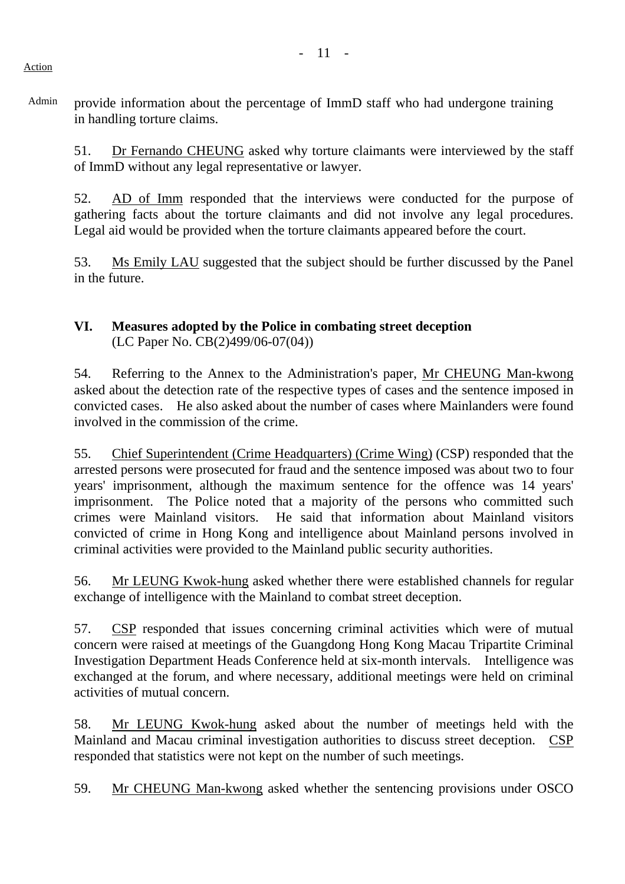Admin provide information about the percentage of ImmD staff who had undergone training in handling torture claims.

51. Dr Fernando CHEUNG asked why torture claimants were interviewed by the staff of ImmD without any legal representative or lawyer.

52. AD of Imm responded that the interviews were conducted for the purpose of gathering facts about the torture claimants and did not involve any legal procedures. Legal aid would be provided when the torture claimants appeared before the court.

53. Ms Emily LAU suggested that the subject should be further discussed by the Panel in the future.

#### **VI. Measures adopted by the Police in combating street deception** (LC Paper No. CB(2)499/06-07(04))

54. Referring to the Annex to the Administration's paper, Mr CHEUNG Man-kwong asked about the detection rate of the respective types of cases and the sentence imposed in convicted cases. He also asked about the number of cases where Mainlanders were found involved in the commission of the crime.

55. Chief Superintendent (Crime Headquarters) (Crime Wing) (CSP) responded that the arrested persons were prosecuted for fraud and the sentence imposed was about two to four years' imprisonment, although the maximum sentence for the offence was 14 years' imprisonment. The Police noted that a majority of the persons who committed such crimes were Mainland visitors. He said that information about Mainland visitors convicted of crime in Hong Kong and intelligence about Mainland persons involved in criminal activities were provided to the Mainland public security authorities.

56. Mr LEUNG Kwok-hung asked whether there were established channels for regular exchange of intelligence with the Mainland to combat street deception.

57. CSP responded that issues concerning criminal activities which were of mutual concern were raised at meetings of the Guangdong Hong Kong Macau Tripartite Criminal Investigation Department Heads Conference held at six-month intervals. Intelligence was exchanged at the forum, and where necessary, additional meetings were held on criminal activities of mutual concern.

58. Mr LEUNG Kwok-hung asked about the number of meetings held with the Mainland and Macau criminal investigation authorities to discuss street deception. CSP responded that statistics were not kept on the number of such meetings.

59. Mr CHEUNG Man-kwong asked whether the sentencing provisions under OSCO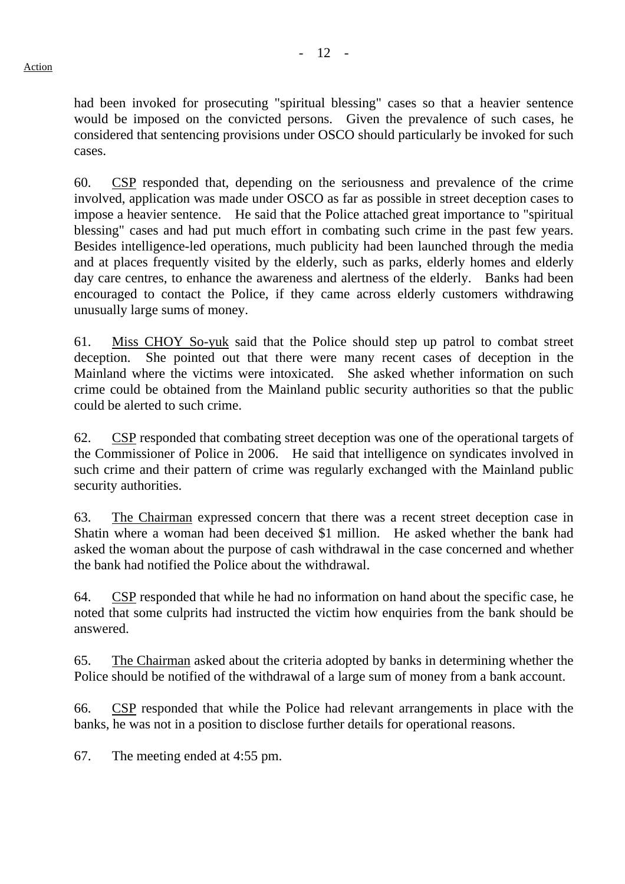had been invoked for prosecuting "spiritual blessing" cases so that a heavier sentence would be imposed on the convicted persons. Given the prevalence of such cases, he considered that sentencing provisions under OSCO should particularly be invoked for such cases.

60. CSP responded that, depending on the seriousness and prevalence of the crime involved, application was made under OSCO as far as possible in street deception cases to impose a heavier sentence. He said that the Police attached great importance to "spiritual blessing" cases and had put much effort in combating such crime in the past few years. Besides intelligence-led operations, much publicity had been launched through the media and at places frequently visited by the elderly, such as parks, elderly homes and elderly day care centres, to enhance the awareness and alertness of the elderly. Banks had been encouraged to contact the Police, if they came across elderly customers withdrawing unusually large sums of money.

61. Miss CHOY So-yuk said that the Police should step up patrol to combat street deception. She pointed out that there were many recent cases of deception in the Mainland where the victims were intoxicated. She asked whether information on such crime could be obtained from the Mainland public security authorities so that the public could be alerted to such crime.

62. CSP responded that combating street deception was one of the operational targets of the Commissioner of Police in 2006. He said that intelligence on syndicates involved in such crime and their pattern of crime was regularly exchanged with the Mainland public security authorities.

63. The Chairman expressed concern that there was a recent street deception case in Shatin where a woman had been deceived \$1 million. He asked whether the bank had asked the woman about the purpose of cash withdrawal in the case concerned and whether the bank had notified the Police about the withdrawal.

64. CSP responded that while he had no information on hand about the specific case, he noted that some culprits had instructed the victim how enquiries from the bank should be answered.

65. The Chairman asked about the criteria adopted by banks in determining whether the Police should be notified of the withdrawal of a large sum of money from a bank account.

66. CSP responded that while the Police had relevant arrangements in place with the banks, he was not in a position to disclose further details for operational reasons.

67. The meeting ended at 4:55 pm.